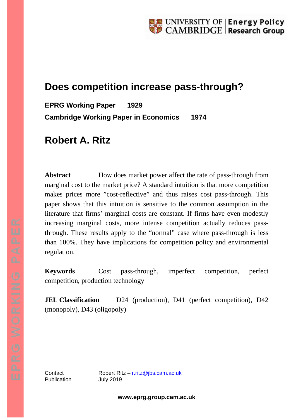# **Does competition increase pass-through?**

**EPRG Working Paper 1929 Cambridge Working Paper in Economics 1974**

# **Robert A. Ritz**

Abstract **How does market power affect the rate of pass-through from** marginal cost to the market price? A standard intuition is that more competition makes prices more "cost-reflective" and thus raises cost pass-through. This paper shows that this intuition is sensitive to the common assumption in the literature that firms' marginal costs are constant. If firms have even modestly increasing marginal costs, more intense competition actually reduces passthrough. These results apply to the "normal" case where pass-through is less than 100%. They have implications for competition policy and environmental regulation.

**Keywords** Cost pass-through, imperfect competition, perfect competition, production technology

**JEL Classification** D24 (production), D41 (perfect competition), D42 (monopoly), D43 (oligopoly)

Publication July 2019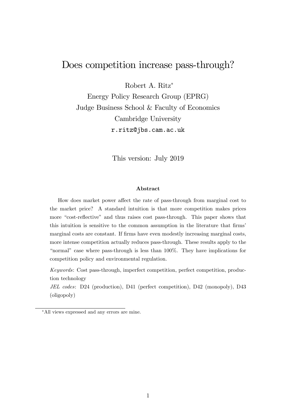## Does competition increase pass-through?

Robert A. Ritz

Energy Policy Research Group (EPRG) Judge Business School & Faculty of Economics Cambridge University r.ritz@jbs.cam.ac.uk

This version: July 2019

#### Abstract

How does market power affect the rate of pass-through from marginal cost to the market price? A standard intuition is that more competition makes prices more "cost-reflective" and thus raises cost pass-through. This paper shows that this intuition is sensitive to the common assumption in the literature that firms<sup>7</sup> marginal costs are constant. If firms have even modestly increasing marginal costs, more intense competition actually reduces pass-through. These results apply to the "normal" case where pass-through is less than  $100\%$ . They have implications for competition policy and environmental regulation.

Keywords: Cost pass-through, imperfect competition, perfect competition, production technology

JEL codes: D24 (production), D41 (perfect competition), D42 (monopoly), D43 (oligopoly)

All views expressed and any errors are mine.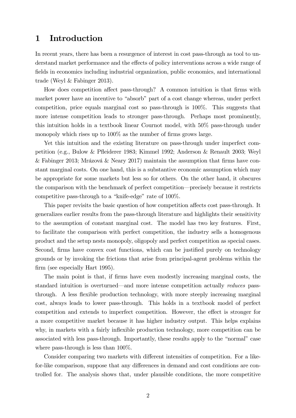### 1 Introduction

In recent years, there has been a resurgence of interest in cost pass-through as tool to understand market performance and the effects of policy interventions across a wide range of fields in economics including industrial organization, public economics, and international trade (Weyl & Fabinger 2013).

How does competition affect pass-through? A common intuition is that firms with market power have an incentive to "absorb" part of a cost change whereas, under perfect competition, price equals marginal cost so pass-through is 100%. This suggests that more intense competition leads to stronger pass-through. Perhaps most prominently, this intuition holds in a textbook linear Cournot model, with 50% pass-through under monopoly which rises up to  $100\%$  as the number of firms grows large.

Yet this intuition and the existing literature on pass-through under imperfect competition (e.g., Bulow & Páeiderer 1983; Kimmel 1992; Anderson & Renault 2003; Weyl & Fabinger 2013; Mrázová & Neary 2017) maintain the assumption that firms have constant marginal costs. On one hand, this is a substantive economic assumption which may be appropriate for some markets but less so for others. On the other hand, it obscures the comparison with the benchmark of perfect competition—precisely because it restricts competitive pass-through to a "knife-edge" rate of  $100\%$ .

This paper revisits the basic question of how competition affects cost pass-through. It generalizes earlier results from the pass-through literature and highlights their sensitivity to the assumption of constant marginal cost. The model has two key features. First, to facilitate the comparison with perfect competition, the industry sells a homogenous product and the setup nests monopoly, oligopoly and perfect competition as special cases. Second, firms have convex cost functions, which can be justified purely on technology grounds or by invoking the frictions that arise from principal-agent problems within the firm (see especially Hart 1995).

The main point is that, if firms have even modestly increasing marginal costs, the standard intuition is overturned—and more intense competition actually reduces passthrough. A less flexible production technology, with more steeply increasing marginal cost, always leads to lower pass-through. This holds in a textbook model of perfect competition and extends to imperfect competition. However, the effect is stronger for a more competitive market because it has higher industry output. This helps explains why, in markets with a fairly inflexible production technology, more competition can be associated with less pass-through. Importantly, these results apply to the "normal" case where pass-through is less than 100%.

Consider comparing two markets with different intensities of competition. For a likefor-like comparison, suppose that any differences in demand and cost conditions are controlled for. The analysis shows that, under plausible conditions, the more competitive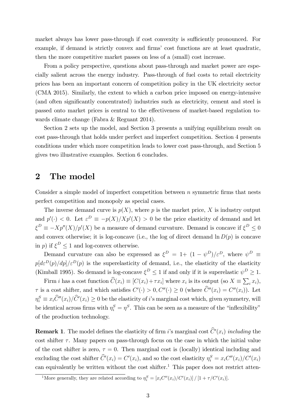market always has lower pass-through if cost convexity is sufficiently pronounced. For example, if demand is strictly convex and firms' cost functions are at least quadratic, then the more competitive market passes on less of a (small) cost increase.

From a policy perspective, questions about pass-through and market power are especially salient across the energy industry. Pass-through of fuel costs to retail electricity prices has been an important concern of competition policy in the UK electricity sector (CMA 2015). Similarly, the extent to which a carbon price imposed on energy-intensive (and often significantly concentrated) industries such as electricity, cement and steel is passed onto market prices is central to the effectiveness of market-based regulation towards climate change (Fabra & Reguant 2014).

Section 2 sets up the model, and Section 3 presents a unifying equilibrium result on cost pass-through that holds under perfect and imperfect competition. Section 4 presents conditions under which more competition leads to lower cost pass-through, and Section 5 gives two illustrative examples. Section 6 concludes.

### 2 The model

Consider a simple model of imperfect competition between  $n$  symmetric firms that nests perfect competition and monopoly as special cases.

The inverse demand curve is  $p(X)$ , where p is the market price, X is industry output and  $p'(\cdot) < 0$ . Let  $\varepsilon^D \equiv -p(X)/Xp'(X) > 0$  be the price elasticity of demand and let  $\xi^D \equiv -Xp''(X)/p'(X)$  be a measure of demand curvature. Demand is concave if  $\xi^D \leq 0$ and convex otherwise; it is log-concave (i.e., the log of direct demand  $\ln D(p)$  is concave in *p*) if  $\xi^D \le 1$  and log-convex otherwise.

Demand curvature can also be expressed as  $\xi^D = 1 + (1 - \psi^D)/\varepsilon^D$ , where  $\psi^D \equiv$  $p[d\varepsilon^{D}(p)/dp]/\varepsilon^{D}(p)$  is the superelasticity of demand, i.e., the elasticity of the elasticity (Kimball 1995). So demand is log-concave  $\xi^D \le 1$  if and only if it is superelastic  $\psi^D \ge 1$ .

Firm *i* has a cost function  $\widehat{C}(x_i) \equiv [C(x_i) + \tau x_i]$  where  $x_i$  is its output (so  $X \equiv \sum_i x_i$ ),  $\tau$  is a cost shifter, and which satisfies  $C'(\cdot) > 0, C''(\cdot) \ge 0$  (where  $C''(x_i) = C''(x_i)$ ). Let  $\eta_i^S \equiv x_i \hat{C}''(x_i) / \hat{C}'(x_i) \ge 0$  be the elasticity of *i*'s marginal cost which, given symmetry, will be identical across firms with  $\eta_i^S = \eta^S$ . This can be seen as a measure of the "inflexibility" of the production technology.

**Remark 1**. The model defines the elasticity of firm i's marginal cost  $C'(x_i)$  including the cost shifter  $\tau$ . Many papers on pass-through focus on the case in which the initial value of the cost shifter is zero,  $\tau = 0$ . Then marginal cost is (locally) identical including and excluding the cost shifter  $\hat{C}'(x_i) = C'(x_i)$ , and so the cost elasticity  $\eta_i^S = x_i C''(x_i) / C'(x_i)$ can equivalently be written without the cost shifter.<sup>1</sup> This paper does not restrict atten-

<sup>&</sup>lt;sup>1</sup>More generally, they are related according to  $\eta_i^S = [x_i C''(x_i) / C'(x_i)] / [1 + \tau / C'(x_i)].$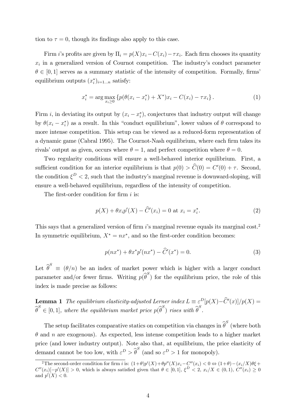tion to  $\tau = 0$ , though its findings also apply to this case.

Firm *i*'s profits are given by  $\Pi_i = p(X)x_i - C(x_i) - \tau x_i$ . Each firm chooses its quantity  $x_i$  in a generalized version of Cournot competition. The industry's conduct parameter  $\theta \in [0, 1]$  serves as a summary statistic of the intensity of competition. Formally, firms' equilibrium outputs  $(x_i^*)_{i=1...n}$  satisfy:

$$
x_i^* = \arg \max_{x_i \ge 0} \left\{ p(\theta(x_i - x_i^*) + X^*) x_i - C(x_i) - \tau x_i \right\}.
$$
 (1)

Firm *i*, in deviating its output by  $(x_i - x_i^*)$ , conjectures that industry output will change by  $\theta(x_i - x_i^*)$  as a result. In this "conduct equilibrium", lower values of  $\theta$  correspond to more intense competition. This setup can be viewed as a reduced-form representation of a dynamic game (Cabral 1995). The Cournot-Nash equilibrium, where each firm takes its rivals' output as given, occurs where  $\theta = 1$ , and perfect competition where  $\theta = 0$ .

Two regularity conditions will ensure a well-behaved interior equilibrium. First, a sufficient condition for an interior equilibrium is that  $p(0) > C(0) = C'(0) + \tau$ . Second, the condition  $\xi^D$  < 2, such that the industry's marginal revenue is downward-sloping, will ensure a well-behaved equilibrium, regardless of the intensity of competition.

The first-order condition for firm  $i$  is:

$$
p(X) + \theta x_i p'(X) - \hat{C}'(x_i) = 0 \text{ at } x_i = x_i^*.
$$
 (2)

This says that a generalized version of firm  $i$ 's marginal revenue equals its marginal cost.<sup>2</sup> In symmetric equilibrium,  $X^* = nx^*$ , and so the first-order condition becomes:

$$
p(nx^*) + \theta x^* p'(nx^*) - \hat{C}'(x^*) = 0.
$$
 (3)

Let  $\widehat{\theta}^S \equiv (\theta/n)$  be an index of market power which is higher with a larger conduct parameter and/or fewer firms. Writing  $p(\widehat{\theta}^S)$  for the equilibrium price, the role of this index is made precise as follows:

**Lemma 1** The equilibrium elasticity-adjusted Lerner index  $L \equiv \varepsilon^D[p(X) - \hat{C}'(x)]/p(X) =$  $\widehat{\theta}^S \in [0,1]$ , where the equilibrium market price  $p(\widehat{\theta}^S)$  rises with  $\widehat{\theta}^S$ .

The setup facilitates comparative statics on competition via changes in  $\widehat{\boldsymbol{\theta}}^S$  (where both  $\theta$  and n are exogenous). As expected, less intense competition leads to a higher market price (and lower industry output). Note also that, at equilibrium, the price elasticity of demand cannot be too low, with  $\varepsilon^D > \widehat{\theta}^S$  (and so  $\varepsilon^D > 1$  for monopoly).

<sup>&</sup>lt;sup>2</sup>The second-order condition for firm i is:  $(1+\theta)p'(X)+\theta p''(X)x_i-C''(x_i) < 0 \Leftrightarrow (1+\theta)-(x_i/X)\theta\xi+$  $C''(x_i) [-p'(X)] > 0$ , which is always satisfied given that  $\theta \in [0,1]$ ,  $\xi^D < 2$ ,  $x_i/X \in (0,1)$ ,  $C''(x_i) \ge 0$ and  $p'(X) < 0$ .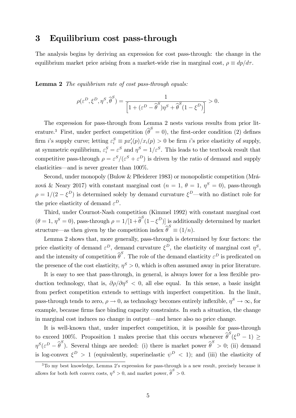#### 3 Equilibrium cost pass-through

The analysis begins by deriving an expression for cost pass-through: the change in the equilibrium market price arising from a market-wide rise in marginal cost,  $\rho \equiv dp/d\tau$ .

Lemma 2 The equilibrium rate of cost pass-through equals:

$$
\rho(\varepsilon^D, \xi^D, \eta^S, \widehat{\boldsymbol{\theta}}^S) = \frac{1}{\left[1 + (\varepsilon^D - \widehat{\boldsymbol{\theta}}^S)\eta^S + \widehat{\boldsymbol{\theta}}^S(1 - \xi^D)\right]} > 0.
$$

The expression for pass-through from Lemma 2 nests various results from prior literature.<sup>3</sup> First, under perfect competition  $\widehat{\theta}^S = 0$ , the first-order condition (2) defines firm *i*'s supply curve; letting  $\varepsilon_i^S \equiv px_i'(p)/x_i(p) > 0$  be firm *i*'s price elasticity of supply, at symmetric equilibrium,  $\varepsilon_i^S = \varepsilon^S$  and  $\eta^S = 1/\varepsilon^S$ . This leads to the textbook result that competitive pass-through  $\rho = \varepsilon^{S}/(\varepsilon^{S} + \varepsilon^{D})$  is driven by the ratio of demand and supply elasticities—and is never greater than  $100\%$ .

Second, under monopoly (Bulow & Pfleiderer 1983) or monopolistic competition (Mrázová & Neary 2017) with constant marginal cost  $(n = 1, \theta = 1, \eta^S = 0)$ , pass-through  $\rho = 1/(2 - \xi^D)$  is determined solely by demand curvature  $\xi^D$ —with no distinct role for the price elasticity of demand  $\varepsilon^D$ .

Third, under Cournot-Nash competition (Kimmel 1992) with constant marginal cost  $(\theta = 1, \eta^S = 0)$ , pass-through  $\rho = 1/[1 + \hat{\theta}^S(1 - \xi^D)]$  is additionally determined by market structure—as then given by the competition index  $\widehat{\theta}^S \equiv (1/n)$ .

Lemma 2 shows that, more generally, pass-through is determined by four factors: the price elasticity of demand  $\varepsilon^D$ , demand curvature  $\xi^D$ , the elasticity of marginal cost  $\eta^S$ , and the intensity of competition  $\widehat{\theta}^S$ . The role of the demand elasticity  $\varepsilon^D$  is predicated on the presence of the cost elasticity,  $\eta^S > 0$ , which is often assumed away in prior literature.

It is easy to see that pass-through, in general, is always lower for a less flexible production technology, that is,  $\partial \rho / \partial \eta^S < 0$ , all else equal. In this sense, a basic insight from perfect competition extends to settings with imperfect competition. In the limit, pass-through tends to zero,  $\rho \to 0$ , as technology becomes entirely inflexible,  $\eta^S \to \infty$ , for example, because firms face binding capacity constraints. In such a situation, the change in marginal cost induces no change in output—and hence also no price change.

It is well-known that, under imperfect competition, it is possible for pass-through to exceed 100%. Proposition 1 makes precise that this occurs whenever  $\hat{\theta}^S(\xi^D - 1) \ge$  $\eta^S(\varepsilon^D - \widehat{\theta}^S)$ . Several things are needed: (i) there is market power  $\widehat{\theta}^S > 0$ ; (ii) demand is log-convex  $\xi^D > 1$  (equivalently, superinelastic  $\psi^D < 1$ ); and (iii) the elasticity of

<sup>&</sup>lt;sup>3</sup>To my best knowledge, Lemma 2's expression for pass-through is a new result, precisely because it allows for both *both* convex costs,  $\eta^S > 0$ , and market power,  $\widehat{\theta}^S > 0$ .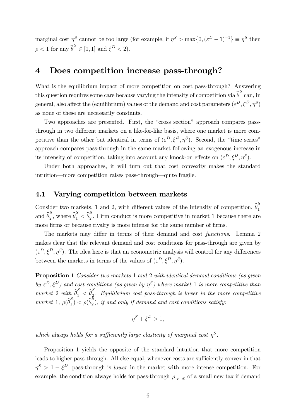marginal cost  $\eta_s^S$  cannot be too large (for example, if  $\eta^S > \max\{0, (\varepsilon^D - 1)^{-1}\} \equiv \underline{\eta}^S$  then  $\rho < 1$  for any  $\widehat{\boldsymbol{\theta}}^S \in [0, 1]$  and  $\xi^D < 2$ ).

#### 4 Does competition increase pass-through?

What is the equilibrium impact of more competition on cost pass-through? Answering this question requires some care because varying the intensity of competition via  $\widehat{\theta}^S$  can, in general, also affect the (equilibrium) values of the demand and cost parameters  $(\varepsilon^D, \xi^D, \eta^S)$ as none of these are necessarily constants.

Two approaches are presented. First, the "cross section" approach compares passthrough in two different markets on a like-for-like basis, where one market is more competitive than the other but identical in terms of  $(\varepsilon^D, \xi^D, \eta^S)$ . Second, the "time series" approach compares pass-through in the same market following an exogenous increase in its intensity of competition, taking into account any knock-on effects on  $(\varepsilon^D, \xi^D, \eta^S)$ .

Under both approaches, it will turn out that cost convexity makes the standard intuition—more competition raises pass-through—quite fragile.

#### 4.1 Varying competition between markets

Consider two markets, 1 and 2, with different values of the intensity of competition,  $\hat{\theta}_1^S$ 1 and  $\widehat{\theta}_2^S$  $S_2$ , where  $\widehat{\theta}_1^S < \widehat{\theta}_2^S$  $\frac{1}{2}$ . Firm conduct is more competitive in market 1 because there are more firms or because rivalry is more intense for the same number of firms.

The markets may differ in terms of their demand and cost *functions*. Lemma 2 makes clear that the relevant demand and cost conditions for pass-through are given by  $(\varepsilon^D, \xi^D, \eta^S)$ . The idea here is that an econometric analysis will control for any differences between the markets in terms of the values of  $(\varepsilon^D, \xi^D, \eta^S)$ .

Proposition 1 Consider two markets 1 and 2 with identical demand conditions (as given by  $\varepsilon^D, \xi^D$ ) and cost conditions (as given by  $\eta^S$ ) where market 1 is more competitive than market 2 with  $\widehat{\theta}_1^S < \widehat{\theta}_2^S$  $\frac{1}{2}$ . Equilibrium cost pass-through is lower in the more competitive market 1,  $\rho(\widehat{\theta}_1^S)$  $\binom{S}{1} < \rho(\widehat{\theta}_2^S)$  $\tilde{p}_2$ ), if and only if demand and cost conditions satisfy:

$$
\eta^S + \xi^D > 1,
$$

which always holds for a sufficiently large elasticity of marginal cost  $\eta^S$ .

Proposition 1 yields the opposite of the standard intuition that more competition leads to higher pass-through. All else equal, whenever costs are sufficiently convex in that  $\eta^S > 1 - \xi^D$ , pass-through is *lower* in the market with more intense competition. For example, the condition always holds for pass-through  $\rho|_{\tau \to 0}$  of a small new tax if demand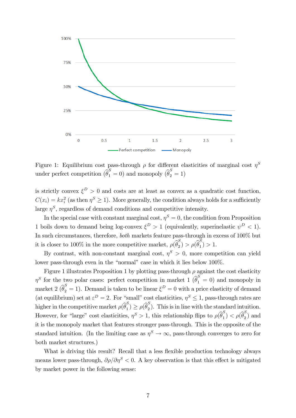

Figure 1: Equilibrium cost pass-through  $\rho$  for different elasticities of marginal cost  $\eta^S$ under perfect competition  $\left(\widehat{\theta}_1^S = 0\right)$  and monopoly  $\left(\widehat{\theta}_2^S = 1\right)$ 

is strictly convex  $\xi^D > 0$  and costs are at least as convex as a quadratic cost function,  $C(x_i) = kx_i^2$  (as then  $\eta^S \ge 1$ ). More generally, the condition always holds for a sufficiently large  $\eta^S$ , regardless of demand conditions and competitive intensity.

In the special case with constant marginal cost,  $\eta^S = 0$ , the condition from Proposition 1 boils down to demand being log-convex  $\xi^D > 1$  (equivalently, superinelastic  $\psi^D < 1$ ). In such circumstances, therefore, both markets feature pass-through in excess of 100% but it is closer to 100% in the more competitive market,  $\rho(\hat{\theta}_2^S)$  $\binom{S}{2} > \rho(\widehat{\theta}_1^S)$  $_{1}^{2}) > 1.$ 

By contrast, with non-constant marginal cost,  $\eta^S > 0$ , more competition can yield lower pass-through even in the "normal" case in which it lies below 100%.

Figure 1 illustrates Proposition 1 by plotting pass-through  $\rho$  against the cost elasticity  $\eta^S$  for the two polar cases: perfect competition in market 1  $\left(\widehat{\theta}_1^S=0\right)$  and monopoly in market 2  $(\hat{\theta}_2^S = 1)$ . Demand is taken to be linear  $\xi^D = 0$  with a price elasticity of demand (at equilibrium) set at  $\varepsilon^D = 2$ . For "small" cost elasticities,  $\eta^S \leq 1$ , pass-through rates are higher in the competitive market  $\rho(\hat{\theta}_1^S)$  $\binom{S}{1} \ge \rho(\widehat{\theta}_2^S)$  $\binom{2}{2}$ . This is in line with the standard intuition. However, for "large" cost elasticities,  $\eta^S > 1$ , this relationship flips to  $\rho(\hat{\theta}_1^S)$  $\binom{S}{1} < \rho(\widehat{\theta}_2^S)$  $\binom{5}{2}$  and it is the monopoly market that features stronger pass-through. This is the opposite of the standard intuition. (In the limiting case as  $\eta^S \to \infty$ , pass-through converges to zero for both market structures.)

What is driving this result? Recall that a less flexible production technology always means lower pass-through,  $\partial \rho / \partial \eta^S < 0$ . A key observation is that this effect is mitigated by market power in the following sense: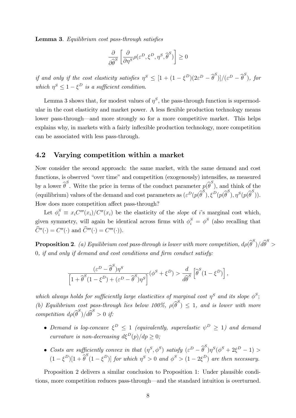Lemma 3. Equilibrium cost pass-through satisfies

$$
\frac{\partial}{\partial \widehat{\theta}^S} \left[ \frac{\partial}{\partial \eta^S} \rho(\varepsilon^D, \xi^D, \eta^S, \widehat{\theta}^S) \right] \ge 0
$$

if and only if the cost elasticity satisfies  $\eta^S \leq [1 + (1 - \xi^D)(2\varepsilon^D - \widehat{\theta}^S)]/(\varepsilon^D - \widehat{\theta}^S)$ , for which  $\eta^S \leq 1 - \xi^D$  is a sufficient condition.

Lemma 3 shows that, for modest values of  $\eta^S$ , the pass-through function is supermodular in the cost elasticity and market power. A less flexible production technology means lower pass-through—and more strongly so for a more competitive market. This helps explains why, in markets with a fairly inflexible production technology, more competition can be associated with less pass-through.

#### 4.2 Varying competition within a market

Now consider the second approach: the same market, with the same demand and cost functions, is observed "over time" and competition (exogenously) intensifies, as measured by a lower  $\widehat{\theta}^S$ . Write the price in terms of the conduct parameter  $p(\widehat{\theta}^S)$ , and think of the (equilibrium) values of the demand and cost parameters as  $(\varepsilon^D(p(\widehat{\theta}^S), \xi^D(p(\widehat{\theta}^S), \eta^S(p(\widehat{\theta}^S))).$ How does more competition affect pass-through?

Let  $\phi_i^S \equiv x_i C'''(x_i) / C''(x_i)$  be the elasticity of the *slope* of *i*'s marginal cost which, given symmetry, will again be identical across firms with  $\phi_i^S = \phi^S$  (also recalling that  $C''(\cdot) = C''(\cdot)$  and  $C'''(\cdot) = C'''(\cdot)$ ).

 $\bf{Proposition~2.}$  (a) Equilibrium cost pass-through is lower with more competition,  $d\rho(\widehat{\theta}^S)/d\widehat{\theta}^S>0$  $0, if and only if demand and cost conditions and firm conduct satisfy:$ 

$$
\frac{(\varepsilon^D - \widehat{\boldsymbol{\theta}}^S)\eta^S}{\left[1 + \widehat{\boldsymbol{\theta}}^S(1 - \xi^D) + (\varepsilon^D - \widehat{\boldsymbol{\theta}}^S)\eta^S\right]}(\boldsymbol{\phi}^S + \xi^D) > \frac{d}{d\widehat{\boldsymbol{\theta}}^S} \left[\widehat{\boldsymbol{\theta}}^S(1 - \xi^D)\right],
$$

which always holds for sufficiently large elasticities of marginal cost  $\eta^S$  and its slope  $\phi^S$ ; (b) Equilibrium cost pass-through lies below 100%,  $\rho(\widehat{\theta}^S) \leq 1$ , and is lower with more competition  $d\rho(\widehat{\theta}^S)/d\widehat{\theta}^S > 0$  if:

- Demand is log-concave  $\xi^D \leq 1$  (equivalently, superelastic  $\psi^D \geq 1$ ) and demand curvature is non-decreasing  $d\xi^{D}(p)/dp \geq 0$ ;
- Costs are sufficiently convex in that  $(\eta^S, \phi^S)$  satisfy  $(\varepsilon^D \widehat{\theta}^S) \eta^S (\phi^S + 2\xi^D 1)$  $(1 - \xi^D)[1 + \widehat{\theta}^S(1 - \xi^D)]$  for which  $\eta^S > 0$  and  $\phi^S > (1 - 2\xi^D)$  are then necessary.

Proposition 2 delivers a similar conclusion to Proposition 1: Under plausible conditions, more competition reduces pass-through—and the standard intuition is overturned.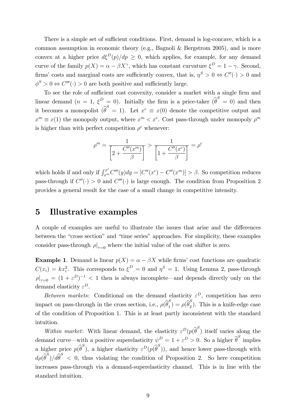There is a simple set of sufficient conditions. First, demand is log-concave, which is a common assumption in economic theory (e.g., Bagnoli & Bergstrom 2005), and is more convex at a higher price  $d\xi^{D}(p)/dp \geq 0$ , which applies, for example, for any demand curve of the family  $p(X) = \alpha - \beta X^{\gamma}$ , which has constant curvature  $\xi^{D} = 1 - \gamma$ . Second, firms' costs and marginal costs are sufficiently convex, that is,  $\eta^S > 0 \Leftrightarrow C''(.) > 0$  and  $\phi^S > 0 \Leftrightarrow C'''(\cdot) > 0$  are both positive and sufficiently large.

To see the role of sufficient cost convexity, consider a market with a single firm and linear demand  $(n = 1, \xi^D = 0)$ . Initially the firm is a price-taker  $(\hat{\theta}^S = 0)$  and then it becomes a monopolist  $\widehat{\theta}^S = 1$ ). Let  $x^c \equiv x(0)$  denote the competitive output and  $x^m \equiv x(1)$  the monopoly output, where  $x^m < x^c$ . Cost pass-through under monopoly  $\rho^m$ is higher than with perfect competition  $\rho^c$  whenever:

$$
\rho^m = \frac{1}{\left[2 + \frac{C''(x^m)}{\beta}\right]} > \frac{1}{\left[1 + \frac{C''(x^c)}{\beta}\right]} = \rho^c
$$

which holds if and only if  $\int_{x^m}^{x^c} C'''(y) dy = [C''(x^c) - C''(x^m)] > \beta$ . So competition reduces pass-through if  $C''(.) > 0$  and  $C'''(.)$  is large enough. The condition from Proposition 2 provides a general result for the case of a small change in competitive intensity.

#### 5 Illustrative examples

A couple of examples are useful to illustrate the issues that arise and the differences between the "cross section" and "time series" approaches. For simplicity, these examples consider pass-through  $\rho|_{\tau=0}$  where the initial value of the cost shifter is zero.

**Example 1.** Demand is linear  $p(X) = \alpha - \beta X$  while firms' cost functions are quadratic  $C(x_i) = kx_i^2$ . This corresponds to  $\xi^D = 0$  and  $\eta^S = 1$ . Using Lemma 2, pass-through  $|\rho|_{\tau=0} = (1 + \varepsilon^D)^{-1} < 1$  then is always incomplete—and depends directly only on the demand elasticity  $\varepsilon^D$ .

Between markets: Conditional on the demand elasticity  $\varepsilon^D$ , competition has zero impact on pass-through in the cross section, i.e.,  $\rho(\hat{\theta}_1^S)$  $\binom{S}{1} = \rho(\widehat{\theta}_2^S)$  $\binom{5}{2}$ . This is a knife-edge case of the condition of Proposition 1. This is at least partly inconsistent with the standard intuition.

Within market: With linear demand, the elasticity  $\varepsilon^D(p(\widehat{\theta}^S))$  itself varies along the demand curve—with a positive superelasticity  $\psi^D = 1 + \varepsilon^D > 0$ . So a higher  $\widehat{\theta}^S$  implies a higher price  $p(\widehat{\theta}^S)$ , a higher elasticity  $\varepsilon^D(p(\widehat{\theta}^S))$ , and hence lower pass-through with  $d\rho(\widehat{\theta}^{S})/d\widehat{\theta}^{S}$  < 0, thus violating the condition of Proposition 2. So here competition increases pass-through via a demand-superelasticity channel. This is in line with the standard intuition.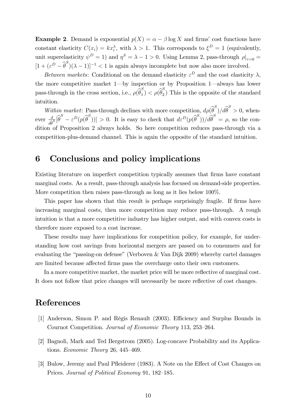**Example 2.** Demand is exponential  $p(X) = \alpha - \beta \log X$  and firms' cost functions have constant elasticity  $C(x_i) = kx_i^{\lambda}$ , with  $\lambda > 1$ . This corresponds to  $\xi^D = 1$  (equivalently, unit superelasticity  $\psi^D = 1$  and  $\eta^S = \lambda - 1 > 0$ . Using Lemma 2, pass-through  $\rho|_{\tau=0} =$  $[1 + (\varepsilon^D - \hat{\theta}^S)(\lambda - 1)]^{-1} < 1$  is again always incomplete but now also more involved.

Between markets: Conditional on the demand elasticity  $\varepsilon^D$  and the cost elasticity  $\lambda$ , the more competitive market  $1$ —by inspection or by Proposition 1—always has lower pass-through in the cross section, i.e.,  $\rho(\hat{\theta}_1^S)$  $\binom{S}{1} < \rho(\widehat{\theta}_2^S)$  $\binom{5}{2}$  This is the opposite of the standard intuition.

Within market: Pass-through declines with more competition,  $d\rho(\hat{\theta}^S)/d\hat{\theta}^S > 0$ , whenever  $\frac{d}{\hat{a}}$  $\frac{d}{d\hat{\theta}^S}[\hat{\theta}^S - \varepsilon^D(p(\hat{\theta}^S))] > 0.$  It is easy to check that  $d\varepsilon^D(p(\hat{\theta}^S))/d\hat{\theta}^S = \rho$ , so the condition of Proposition 2 always holds. So here competition reduces pass-through via a competition-plus-demand channel. This is again the opposite of the standard intuition.

### 6 Conclusions and policy implications

Existing literature on imperfect competition typically assumes that Örms have constant marginal costs. As a result, pass-through analysis has focused on demand-side properties. More competition then raises pass-through as long as it lies below 100%.

This paper has shown that this result is perhaps surprisingly fragile. If firms have increasing marginal costs, then more competition may reduce pass-through. A rough intuition is that a more competitive industry has higher output, and with convex costs is therefore more exposed to a cost increase.

These results may have implications for competition policy, for example, for understanding how cost savings from horizontal mergers are passed on to consumers and for evaluating the "passing-on defense" (Verboven  $&$  Van Dijk 2009) whereby cartel damages are limited because affected firms pass the overcharge onto their own customers.

In a more competitive market, the market price will be more reflective of marginal cost. It does not follow that price changes will necessarily be more reflective of cost changes.

## References

- [1] Anderson, Simon P. and Régis Renault (2003). Efficiency and Surplus Bounds in Cournot Competition. Journal of Economic Theory 113, 253–264.
- [2] Bagnoli, Mark and Ted Bergstrom (2005). Log-concave Probability and its Applications. Economic Theory 26, 445–469.
- [3] Bulow, Jeremy and Paul Pfleiderer (1983). A Note on the Effect of Cost Changes on Prices. Journal of Political Economy 91, 182–185.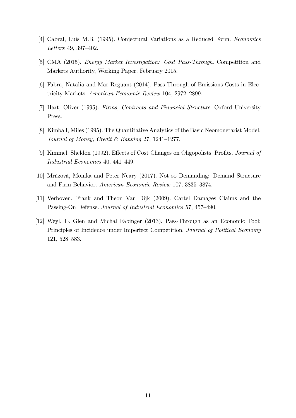- [4] Cabral, Luís M.B. (1995). Conjectural Variations as a Reduced Form. Economics Letters 49, 397 $-402$ .
- [5] CMA (2015). Energy Market Investigation: Cost Pass-Through. Competition and Markets Authority, Working Paper, February 2015.
- [6] Fabra, Natalia and Mar Reguant (2014). Pass-Through of Emissions Costs in Electricity Markets. American Economic Review 104, 2972–2899.
- [7] Hart, Oliver (1995). Firms, Contracts and Financial Structure. Oxford University Press.
- [8] Kimball, Miles (1995). The Quantitative Analytics of the Basic Neomonetarist Model. Journal of Money, Credit & Banking 27, 1241-1277.
- [9] Kimmel, Sheldon (1992). Effects of Cost Changes on Oligopolists' Profits. *Journal of* Industrial Economics 40, 441-449.
- [10] Mrázová, Monika and Peter Neary (2017). Not so Demanding: Demand Structure and Firm Behavior. American Economic Review 107, 3835–3874.
- [11] Verboven, Frank and Theon Van Dijk (2009). Cartel Damages Claims and the Passing-On Defense. Journal of Industrial Economics 57, 457–490.
- [12] Weyl, E. Glen and Michal Fabinger (2013). Pass-Through as an Economic Tool: Principles of Incidence under Imperfect Competition. Journal of Political Economy 121, 528-583.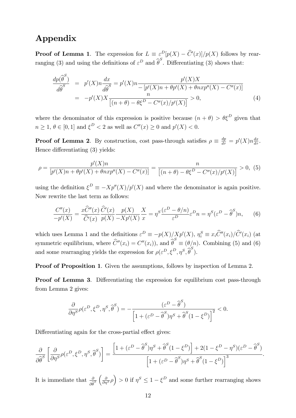## Appendix

**Proof of Lemma 1.** The expression for  $L = \varepsilon^D[p(X) - \hat{C}'(x)]/p(X)$  follows by rearranging (3) and using the definitions of  $\varepsilon^D$  and  $\widehat{\theta}^S$ . Differentiating (3) shows that:

$$
\frac{dp(\widehat{\theta}^{S})}{d\widehat{\theta}^{S}} = p'(X)n \frac{dx}{d\widehat{\theta}^{S}} = p'(X)n - \frac{p'(X)X}{[p'(X)n + \theta p'(X) + \theta n x p''(X) - C''(x)]}
$$
\n
$$
= -p'(X)X \frac{n}{[(n+\theta) - \theta \xi^{D} - C''(x)/p'(X)]} > 0,
$$
\n(4)

where the denominator of this expression is positive because  $(n + \theta) > \theta \xi^D$  given that  $n \ge 1, \, \theta \in [0, 1]$  and  $\xi^D < 2$  as well as  $C''(x) \ge 0$  and  $p'(X) < 0$ .

**Proof of Lemma 2.** By construction, cost pass-through satisfies  $\rho \equiv \frac{dp}{d\tau} = p'(X)n \frac{dx}{d\tau}$ . Hence differentiating  $(3)$  yields:

$$
\rho = \frac{p'(X)n}{[p'(X)n + \theta p'(X) + \theta n x p''(X) - C''(x)]} = \frac{n}{[(n+\theta) - \theta \xi^D - C''(x)/p'(X)]} > 0, (5)
$$

using the definition  $\xi^D \equiv -Xp''(X)/p'(X)$  and where the denominator is again positive. Now rewrite the last term as follows:

$$
\frac{C''(x)}{-p'(X)} = \frac{x\widehat{C}''(x)}{\widehat{C}'(x)} \frac{\widehat{C}'(x)}{p(X)} \frac{p(X)}{-Xp'(X)} \frac{X}{x} = \eta^S \frac{(\varepsilon^D - \theta/n)}{\varepsilon^D} \varepsilon^D n = \eta^S(\varepsilon^D - \widehat{\theta}^S)n, \tag{6}
$$

which uses Lemma 1 and the definitions  $\varepsilon^D \equiv -p(X)/Xp(X), \eta_i^S \equiv x_i\hat{C}''(x_i)/\hat{C}'(x_i)$  (at symmetric equilibrium, where  $\hat{C}''(x_i) = C''(x_i)$ , and  $\hat{\theta}^S \equiv (\theta/n)$ . Combining (5) and (6) and some rearranging yields the expression for  $\rho(\varepsilon^D, \xi^D, \eta^S, \widehat{\theta}^S)$ .

Proof of Proposition 1. Given the assumptions, follows by inspection of Lemma 2.

**Proof of Lemma 3.** Differentiating the expression for equilibrium cost pass-through from Lemma 2 gives:

$$
\frac{\partial}{\partial \eta^S} \rho(\varepsilon^D, \xi^D, \eta^S, \widehat{\boldsymbol{\theta}}^S) = -\frac{(\varepsilon^D - \widehat{\boldsymbol{\theta}}^S)}{\left[1 + (\varepsilon^D - \widehat{\boldsymbol{\theta}}^S)\eta^S + \widehat{\boldsymbol{\theta}}^S(1 - \xi^D)\right]^2} < 0.
$$

Differentiating again for the cross-partial effect gives:

$$
\frac{\partial}{\partial \widehat{\theta}^{S}} \left[ \frac{\partial}{\partial \eta^{S}} \rho(\varepsilon^{D}, \xi^{D}, \eta^{S}, \widehat{\theta}^{S}) \right] = \frac{\left[ 1 + (\varepsilon^{D} - \widehat{\theta}^{S}) \eta^{S} + \widehat{\theta}^{S} (1 - \xi^{D}) \right] + 2(1 - \xi^{D} - \eta^{S})(\varepsilon^{D} - \widehat{\theta}^{S})}{\left[ 1 + (\varepsilon^{D} - \widehat{\theta}^{S}) \eta^{S} + \widehat{\theta}^{S} (1 - \xi^{D}) \right]^{3}}.
$$

It is immediate that  $\frac{\partial}{\partial \hat{\theta}}$  $\frac{\partial}{\partial \hat{\theta}^S} \left( \frac{\partial}{\partial \eta^S} \rho \right) > 0$  if  $\eta^S \leq 1 - \xi^D$  and some further rearranging shows